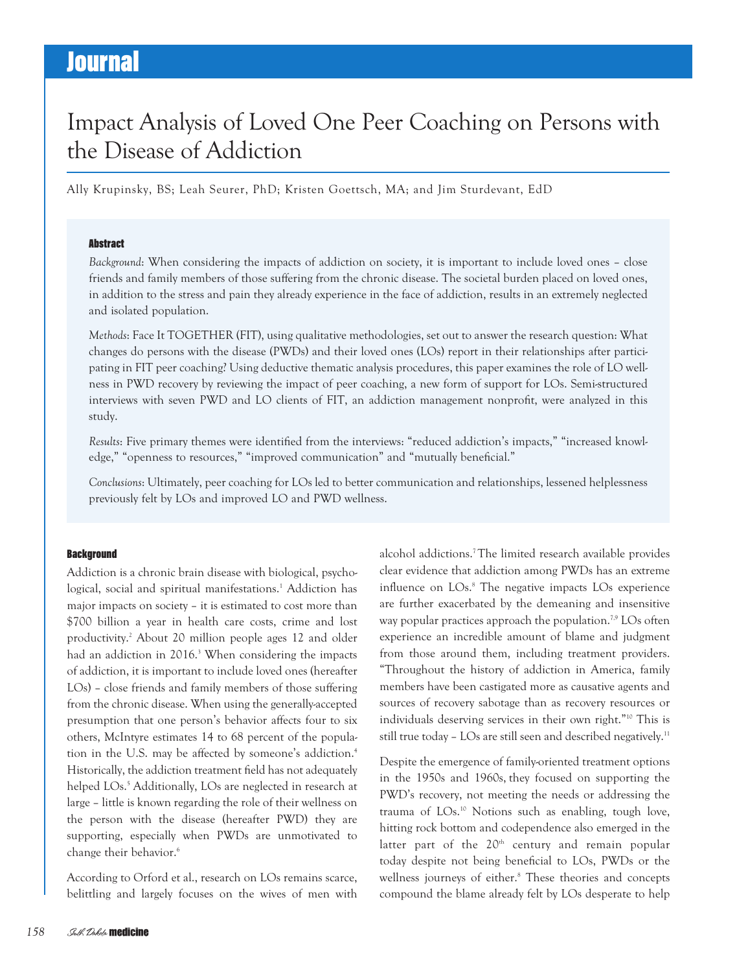### Impact Analysis of Loved One Peer Coaching on Persons with the Disease of Addiction

Ally Krupinsky, BS; Leah Seurer, PhD; Kristen Goettsch, MA; and Jim Sturdevant, EdD

#### **Abstract**

Background: When considering the impacts of addiction on society, it is important to include loved ones – close friends and family members of those suffering from the chronic disease. The societal burden placed on loved ones, in addition to the stress and pain they already experience in the face of addiction, results in an extremely neglected and isolated population.

Methods: Face It TOGETHER (FIT), using qualitative methodologies, set out to answer the research question: What changes do persons with the disease (PWDs) and their loved ones (LOs) report in their relationships after participating in FIT peer coaching? Using deductive thematic analysis procedures, this paper examines the role of LO wellness in PWD recovery by reviewing the impact of peer coaching, a new form of support for LOs. Semi-structured interviews with seven PWD and LO clients of FIT, an addiction management nonprofit, were analyzed in this study.

Results: Five primary themes were identified from the interviews: "reduced addiction's impacts," "increased knowledge," "openness to resources," "improved communication" and "mutually beneficial."

Conclusions: Ultimately, peer coaching for LOs led to better communication and relationships, lessened helplessness previously felt by LOs and improved LO and PWD wellness.

#### **Background**

Addiction is a chronic brain disease with biological, psychological, social and spiritual manifestations.1 Addiction has major impacts on society – it is estimated to cost more than \$700 billion a year in health care costs, crime and lost productivity.2 About 20 million people ages 12 and older had an addiction in 2016.<sup>3</sup> When considering the impacts of addiction, it is important to include loved ones (hereafter LOs) – close friends and family members of those suffering from the chronic disease. When using the generally-accepted presumption that one person's behavior affects four to six others, McIntyre estimates 14 to 68 percent of the population in the U.S. may be affected by someone's addiction.<sup>4</sup> Historically, the addiction treatment field has not adequately helped LOs.<sup>5</sup> Additionally, LOs are neglected in research at large – little is known regarding the role of their wellness on the person with the disease (hereafter PWD) they are supporting, especially when PWDs are unmotivated to change their behavior.6

According to Orford et al., research on LOs remains scarce, belittling and largely focuses on the wives of men with

alcohol addictions.7 The limited research available provides clear evidence that addiction among PWDs has an extreme influence on LOs.<sup>8</sup> The negative impacts LOs experience are further exacerbated by the demeaning and insensitive way popular practices approach the population.<sup>7,9</sup> LOs often experience an incredible amount of blame and judgment from those around them, including treatment providers. "Throughout the history of addiction in America, family members have been castigated more as causative agents and sources of recovery sabotage than as recovery resources or individuals deserving services in their own right."10 This is still true today - LOs are still seen and described negatively.<sup>11</sup>

Despite the emergence of family-oriented treatment options in the 1950s and 1960s, they focused on supporting the PWD's recovery, not meeting the needs or addressing the trauma of LOs.10 Notions such as enabling, tough love, hitting rock bottom and codependence also emerged in the latter part of the  $20<sup>th</sup>$  century and remain popular today despite not being beneficial to LOs, PWDs or the wellness journeys of either.8 These theories and concepts compound the blame already felt by LOs desperate to help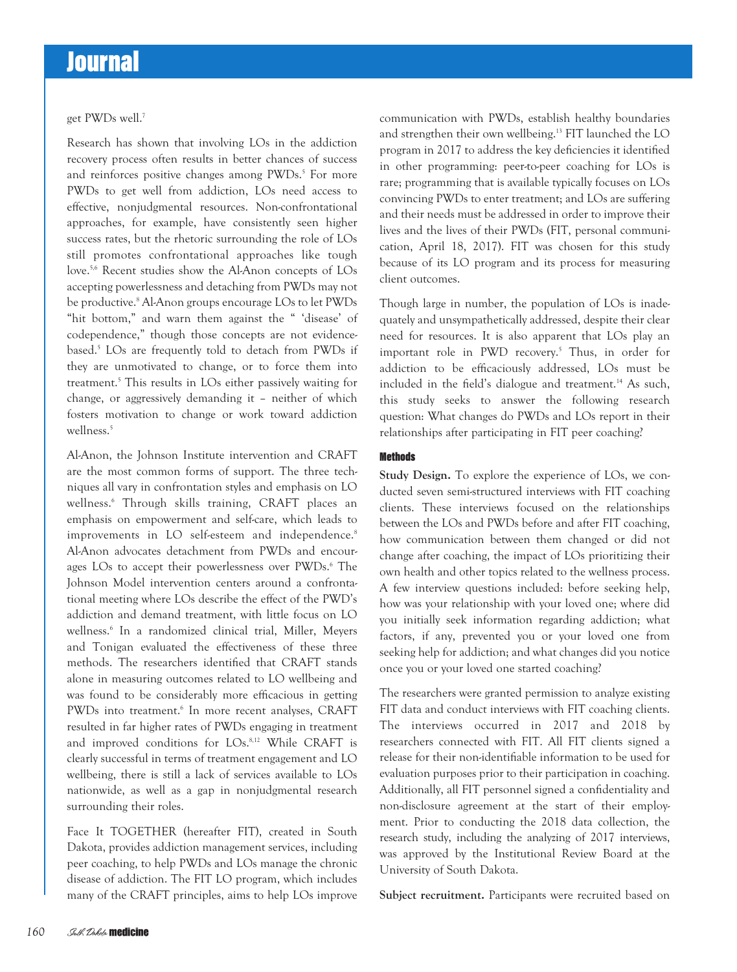get PWDs well.7

Research has shown that involving LOs in the addiction recovery process often results in better chances of success and reinforces positive changes among PWDs.<sup>5</sup> For more PWDs to get well from addiction, LOs need access to effective, nonjudgmental resources. Non-confrontational approaches, for example, have consistently seen higher success rates, but the rhetoric surrounding the role of LOs still promotes confrontational approaches like tough love.5,6 Recent studies show the Al-Anon concepts of LOs accepting powerlessness and detaching from PWDs may not be productive.<sup>8</sup> Al-Anon groups encourage LOs to let PWDs "hit bottom," and warn them against the " 'disease' of codependence," though those concepts are not evidencebased.5 LOs are frequently told to detach from PWDs if they are unmotivated to change, or to force them into treatment.5 This results in LOs either passively waiting for change, or aggressively demanding it – neither of which fosters motivation to change or work toward addiction wellness.<sup>5</sup>

Al-Anon, the Johnson Institute intervention and CRAFT are the most common forms of support. The three techniques all vary in confrontation styles and emphasis on LO wellness.6 Through skills training, CRAFT places an emphasis on empowerment and self-care, which leads to improvements in LO self-esteem and independence.<sup>8</sup> Al-Anon advocates detachment from PWDs and encourages LOs to accept their powerlessness over PWDs.<sup>6</sup> The Johnson Model intervention centers around a confrontational meeting where LOs describe the effect of the PWD's addiction and demand treatment, with little focus on LO wellness.6 In a randomized clinical trial, Miller, Meyers and Tonigan evaluated the effectiveness of these three methods. The researchers identified that CRAFT stands alone in measuring outcomes related to LO wellbeing and was found to be considerably more efficacious in getting PWDs into treatment.<sup>6</sup> In more recent analyses, CRAFT resulted in far higher rates of PWDs engaging in treatment and improved conditions for LOs.<sup>8,12</sup> While CRAFT is clearly successful in terms of treatment engagement and LO wellbeing, there is still a lack of services available to LOs nationwide, as well as a gap in nonjudgmental research surrounding their roles.

Face It TOGETHER (hereafter FIT), created in South Dakota, provides addiction management services, including peer coaching, to help PWDs and LOs manage the chronic disease of addiction. The FIT LO program, which includes many of the CRAFT principles, aims to help LOs improve

communication with PWDs, establish healthy boundaries and strengthen their own wellbeing.13 FIT launched the LO program in 2017 to address the key deficiencies it identified in other programming: peer-to-peer coaching for LOs is rare; programming that is available typically focuses on LOs convincing PWDs to enter treatment; and LOs are suffering and their needs must be addressed in order to improve their lives and the lives of their PWDs (FIT, personal communication, April 18, 2017). FIT was chosen for this study because of its LO program and its process for measuring client outcomes.

Though large in number, the population of LOs is inadequately and unsympathetically addressed, despite their clear need for resources. It is also apparent that LOs play an important role in PWD recovery.5 Thus, in order for addiction to be efficaciously addressed, LOs must be included in the field's dialogue and treatment.<sup>14</sup> As such, this study seeks to answer the following research question: What changes do PWDs and LOs report in their relationships after participating in FIT peer coaching?

#### **Methods**

Study Design. To explore the experience of LOs, we conducted seven semi-structured interviews with FIT coaching clients. These interviews focused on the relationships between the LOs and PWDs before and after FIT coaching, how communication between them changed or did not change after coaching, the impact of LOs prioritizing their own health and other topics related to the wellness process. A few interview questions included: before seeking help, how was your relationship with your loved one; where did you initially seek information regarding addiction; what factors, if any, prevented you or your loved one from seeking help for addiction; and what changes did you notice once you or your loved one started coaching?

The researchers were granted permission to analyze existing FIT data and conduct interviews with FIT coaching clients. The interviews occurred in 2017 and 2018 by researchers connected with FIT. All FIT clients signed a release for their non-identifiable information to be used for evaluation purposes prior to their participation in coaching. Additionally, all FIT personnel signed a confidentiality and non-disclosure agreement at the start of their employment. Prior to conducting the 2018 data collection, the research study, including the analyzing of 2017 interviews, was approved by the Institutional Review Board at the University of South Dakota.

Subject recruitment. Participants were recruited based on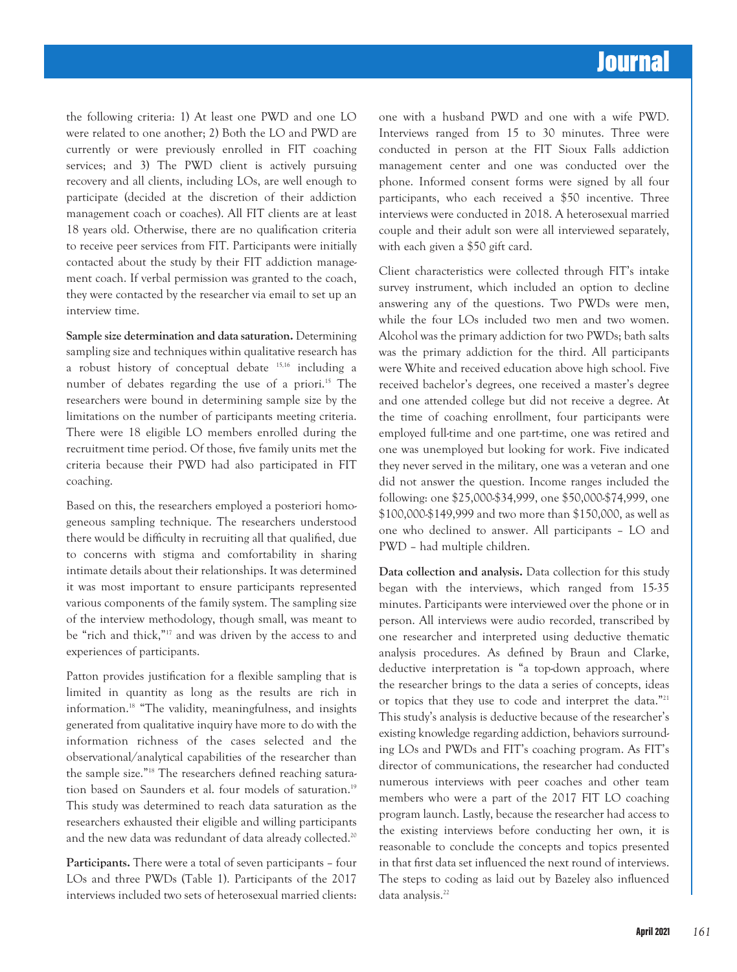the following criteria: 1) At least one PWD and one LO were related to one another; 2) Both the LO and PWD are currently or were previously enrolled in FIT coaching services; and 3) The PWD client is actively pursuing recovery and all clients, including LOs, are well enough to participate (decided at the discretion of their addiction management coach or coaches). All FIT clients are at least 18 years old. Otherwise, there are no qualification criteria to receive peer services from FIT. Participants were initially contacted about the study by their FIT addiction management coach. If verbal permission was granted to the coach, they were contacted by the researcher via email to set up an interview time.

Sample size determination and data saturation. Determining sampling size and techniques within qualitative research has a robust history of conceptual debate 15,16 including a number of debates regarding the use of a priori.<sup>15</sup> The researchers were bound in determining sample size by the limitations on the number of participants meeting criteria. There were 18 eligible LO members enrolled during the recruitment time period. Of those, five family units met the criteria because their PWD had also participated in FIT coaching.

Based on this, the researchers employed a posteriori homogeneous sampling technique. The researchers understood there would be difficulty in recruiting all that qualified, due to concerns with stigma and comfortability in sharing intimate details about their relationships. It was determined it was most important to ensure participants represented various components of the family system. The sampling size of the interview methodology, though small, was meant to be "rich and thick,"17 and was driven by the access to and experiences of participants.

Patton provides justification for a flexible sampling that is limited in quantity as long as the results are rich in information.18 "The validity, meaningfulness, and insights generated from qualitative inquiry have more to do with the information richness of the cases selected and the observational/analytical capabilities of the researcher than the sample size."18 The researchers defined reaching saturation based on Saunders et al. four models of saturation.<sup>19</sup> This study was determined to reach data saturation as the researchers exhausted their eligible and willing participants and the new data was redundant of data already collected.<sup>20</sup>

Participants. There were a total of seven participants – four LOs and three PWDs (Table 1). Participants of the 2017 interviews included two sets of heterosexual married clients: one with a husband PWD and one with a wife PWD. Interviews ranged from 15 to 30 minutes. Three were conducted in person at the FIT Sioux Falls addiction management center and one was conducted over the phone. Informed consent forms were signed by all four participants, who each received a \$50 incentive. Three interviews were conducted in 2018. A heterosexual married couple and their adult son were all interviewed separately, with each given a \$50 gift card.

Client characteristics were collected through FIT's intake survey instrument, which included an option to decline answering any of the questions. Two PWDs were men, while the four LOs included two men and two women. Alcohol was the primary addiction for two PWDs; bath salts was the primary addiction for the third. All participants were White and received education above high school. Five received bachelor's degrees, one received a master's degree and one attended college but did not receive a degree. At the time of coaching enrollment, four participants were employed full-time and one part-time, one was retired and one was unemployed but looking for work. Five indicated they never served in the military, one was a veteran and one did not answer the question. Income ranges included the following: one \$25,000-\$34,999, one \$50,000-\$74,999, one \$100,000-\$149,999 and two more than \$150,000, as well as one who declined to answer. All participants – LO and PWD – had multiple children.

Data collection and analysis. Data collection for this study began with the interviews, which ranged from 15-35 minutes. Participants were interviewed over the phone or in person. All interviews were audio recorded, transcribed by one researcher and interpreted using deductive thematic analysis procedures. As defined by Braun and Clarke, deductive interpretation is "a top-down approach, where the researcher brings to the data a series of concepts, ideas or topics that they use to code and interpret the data."21 This study's analysis is deductive because of the researcher's existing knowledge regarding addiction, behaviors surrounding LOs and PWDs and FIT's coaching program. As FIT's director of communications, the researcher had conducted numerous interviews with peer coaches and other team members who were a part of the 2017 FIT LO coaching program launch. Lastly, because the researcher had access to the existing interviews before conducting her own, it is reasonable to conclude the concepts and topics presented in that first data set influenced the next round of interviews. The steps to coding as laid out by Bazeley also influenced data analysis.<sup>22</sup>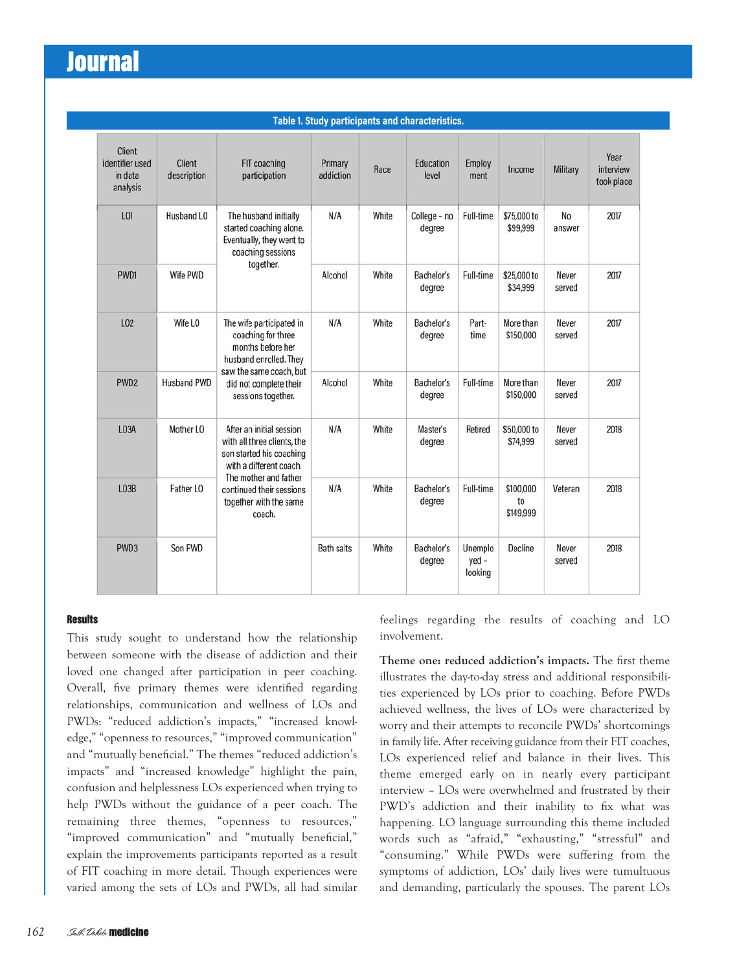| Table 1. Study participants and characteristics. |                              |                                                                                                                                                                                                         |                      |       |                           |                               |                              |                 |                                 |
|--------------------------------------------------|------------------------------|---------------------------------------------------------------------------------------------------------------------------------------------------------------------------------------------------------|----------------------|-------|---------------------------|-------------------------------|------------------------------|-----------------|---------------------------------|
| Client<br>identifier used<br>in data<br>analysis | <b>Client</b><br>description | FIT coaching<br>participation                                                                                                                                                                           | Primary<br>addiction | Race  | <b>Education</b><br>level | Employ<br>ment                | Income                       | Military        | Year<br>interview<br>took place |
| L01                                              | Husband LO                   | The husband initially<br>started coaching alone.<br>Eventually, they went to<br>coaching sessions<br>together.                                                                                          | N/A                  | White | College - no<br>degree    | Full-time                     | \$75,000 to<br>\$99,999      | No<br>answer    | 2017                            |
| PWD1                                             | Wife PWD                     |                                                                                                                                                                                                         | Alcohol              | White | Bachelor's<br>degree      | Full-time                     | \$25,000 to<br>\$34,999      | Never<br>served | 2017                            |
| L02                                              | Wife LO                      | The wife participated in<br>coaching for three<br>months before her<br>husband enrolled. They<br>saw the same coach, but<br>did not complete their<br>sessions together.                                | N/A                  | White | Bachelor's<br>degree      | Part-<br>time                 | More than<br>\$150,000       | Never<br>served | 2017                            |
| PWD <sub>2</sub>                                 | <b>Husband PWD</b>           |                                                                                                                                                                                                         | Alcohol              | White | Bachelor's<br>degree      | Full-time                     | More than<br>\$150,000       | Never<br>served | 2017                            |
| LO <sub>3</sub> A                                | Mother LO                    | After an initial session<br>with all three clients, the<br>son started his coaching<br>with a different coach.<br>The mother and father<br>continued their sessions<br>together with the same<br>coach. | N/A                  | White | Master's<br>degree        | Retired                       | \$50,000 to<br>\$74,999      | Never<br>served | 2018                            |
| L <sub>03</sub> B                                | Father LO                    |                                                                                                                                                                                                         | N/A                  | White | Bachelor's<br>degree      | Full-time                     | \$100,000<br>to<br>\$149,999 | Veteran         | 2018                            |
| PWD <sub>3</sub>                                 | Son PWD                      |                                                                                                                                                                                                         | <b>Bath salts</b>    | White | Bachelor's<br>degree      | Unemplo<br>$yed -$<br>looking | Decline                      | Never<br>served | 2018                            |

#### **Results**

This study sought to understand how the relationship between someone with the disease of addiction and their loved one changed after participation in peer coaching. Overall, five primary themes were identified regarding relationships, communication and wellness of LOs and PWDs: "reduced addiction's impacts," "increased knowledge," "openness to resources," "improved communication" and "mutually beneficial." The themes "reduced addiction's impacts" and "increased knowledge" highlight the pain, confusion and helplessness LOs experienced when trying to help PWDs without the guidance of a peer coach. The remaining three themes, "openness to resources," "improved communication" and "mutually beneficial," explain the improvements participants reported as a result of FIT coaching in more detail. Though experiences were varied among the sets of LOs and PWDs, all had similar

162 Salk *Dokolo* medicine feelings regarding the results of coaching and LO involvement.

Theme one: reduced addiction's impacts. The first theme illustrates the day-to-day stress and additional responsibilities experienced by LOs prior to coaching. Before PWDs achieved wellness, the lives of LOs were characterized by worry and their attempts to reconcile PWDs' shortcomings in family life. After receiving guidance from their FIT coaches, LOs experienced relief and balance in their lives. This theme emerged early on in nearly every participant interview – LOs were overwhelmed and frustrated by their PWD's addiction and their inability to fix what was happening. LO language surrounding this theme included words such as "afraid," "exhausting," "stressful" and "consuming." While PWDs were suffering from the symptoms of addiction, LOs' daily lives were tumultuous and demanding, particularly the spouses. The parent LOs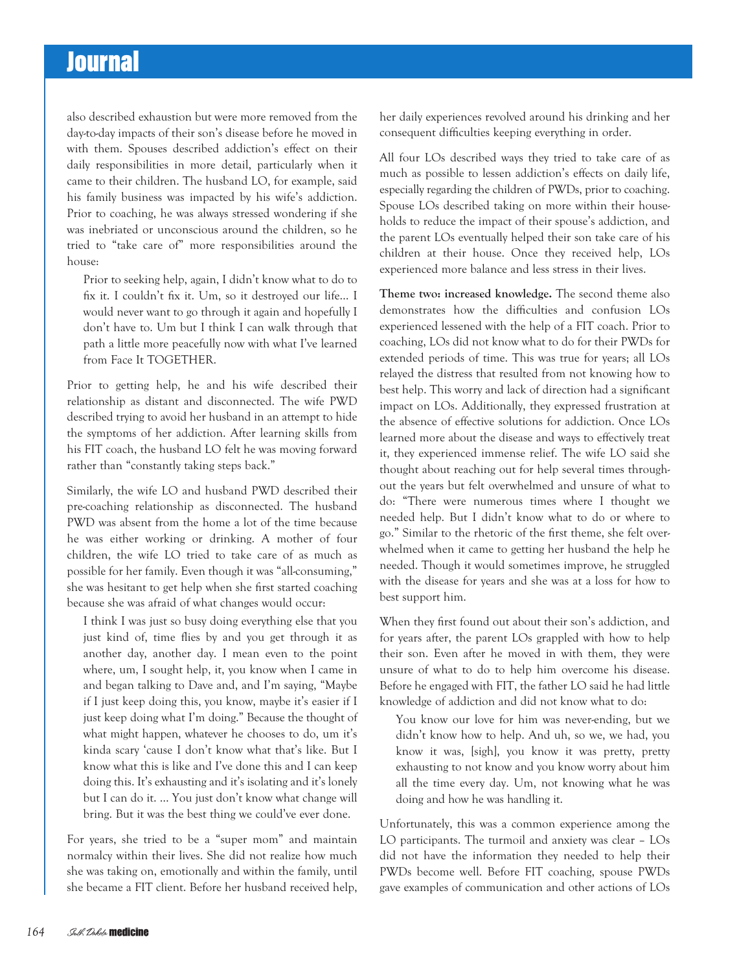also described exhaustion but were more removed from the day-to-day impacts of their son's disease before he moved in with them. Spouses described addiction's effect on their daily responsibilities in more detail, particularly when it came to their children. The husband LO, for example, said his family business was impacted by his wife's addiction. Prior to coaching, he was always stressed wondering if she was inebriated or unconscious around the children, so he tried to "take care of" more responsibilities around the house:

Prior to seeking help, again, I didn't know what to do to fix it. I couldn't fix it. Um, so it destroyed our life… I would never want to go through it again and hopefully I don't have to. Um but I think I can walk through that path a little more peacefully now with what I've learned from Face It TOGETHER.

Prior to getting help, he and his wife described their relationship as distant and disconnected. The wife PWD described trying to avoid her husband in an attempt to hide the symptoms of her addiction. After learning skills from his FIT coach, the husband LO felt he was moving forward rather than "constantly taking steps back."

Similarly, the wife LO and husband PWD described their pre-coaching relationship as disconnected. The husband PWD was absent from the home a lot of the time because he was either working or drinking. A mother of four children, the wife LO tried to take care of as much as possible for her family. Even though it was "all-consuming," she was hesitant to get help when she first started coaching because she was afraid of what changes would occur:

I think I was just so busy doing everything else that you just kind of, time flies by and you get through it as another day, another day. I mean even to the point where, um, I sought help, it, you know when I came in and began talking to Dave and, and I'm saying, "Maybe if I just keep doing this, you know, maybe it's easier if I just keep doing what I'm doing." Because the thought of what might happen, whatever he chooses to do, um it's kinda scary 'cause I don't know what that's like. But I know what this is like and I've done this and I can keep doing this. It's exhausting and it's isolating and it's lonely but I can do it. … You just don't know what change will bring. But it was the best thing we could've ever done.

For years, she tried to be a "super mom" and maintain normalcy within their lives. She did not realize how much she was taking on, emotionally and within the family, until she became a FIT client. Before her husband received help, her daily experiences revolved around his drinking and her consequent difficulties keeping everything in order.

All four LOs described ways they tried to take care of as much as possible to lessen addiction's effects on daily life, especially regarding the children of PWDs, prior to coaching. Spouse LOs described taking on more within their households to reduce the impact of their spouse's addiction, and the parent LOs eventually helped their son take care of his children at their house. Once they received help, LOs experienced more balance and less stress in their lives.

Theme two: increased knowledge. The second theme also demonstrates how the difficulties and confusion LOs experienced lessened with the help of a FIT coach. Prior to coaching, LOs did not know what to do for their PWDs for extended periods of time. This was true for years; all LOs relayed the distress that resulted from not knowing how to best help. This worry and lack of direction had a significant impact on LOs. Additionally, they expressed frustration at the absence of effective solutions for addiction. Once LOs learned more about the disease and ways to effectively treat it, they experienced immense relief. The wife LO said she thought about reaching out for help several times throughout the years but felt overwhelmed and unsure of what to do: "There were numerous times where I thought we needed help. But I didn't know what to do or where to go." Similar to the rhetoric of the first theme, she felt overwhelmed when it came to getting her husband the help he needed. Though it would sometimes improve, he struggled with the disease for years and she was at a loss for how to best support him.

When they first found out about their son's addiction, and for years after, the parent LOs grappled with how to help their son. Even after he moved in with them, they were unsure of what to do to help him overcome his disease. Before he engaged with FIT, the father LO said he had little knowledge of addiction and did not know what to do:

You know our love for him was never-ending, but we didn't know how to help. And uh, so we, we had, you know it was, [sigh], you know it was pretty, pretty exhausting to not know and you know worry about him all the time every day. Um, not knowing what he was doing and how he was handling it.

Unfortunately, this was a common experience among the LO participants. The turmoil and anxiety was clear – LOs did not have the information they needed to help their PWDs become well. Before FIT coaching, spouse PWDs gave examples of communication and other actions of LOs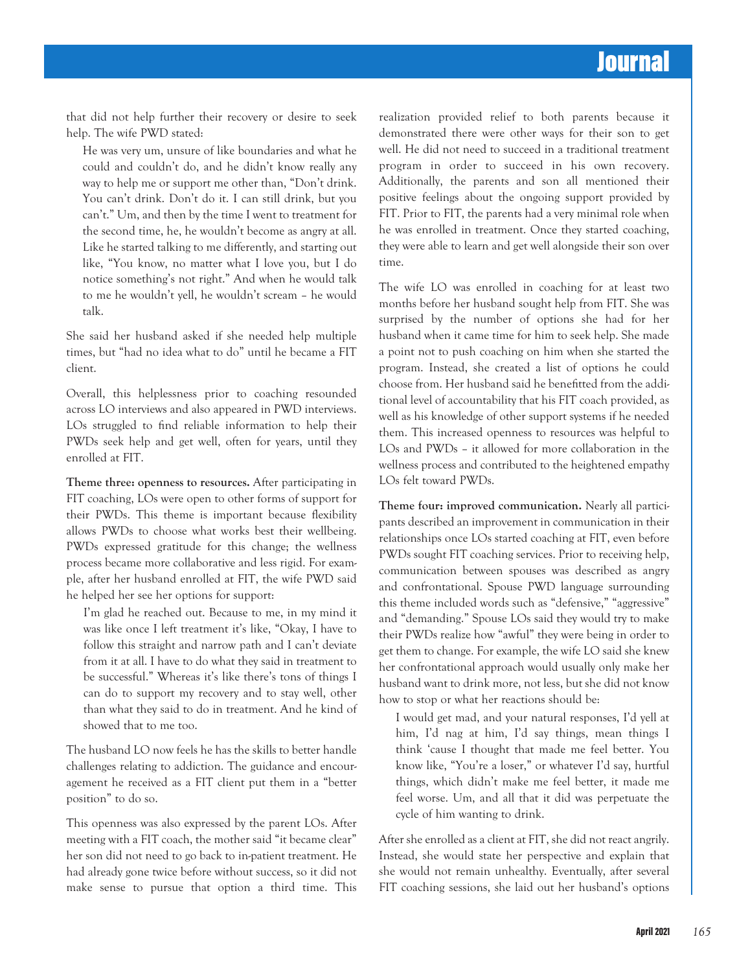that did not help further their recovery or desire to seek help. The wife PWD stated:

He was very um, unsure of like boundaries and what he could and couldn't do, and he didn't know really any way to help me or support me other than, "Don't drink. You can't drink. Don't do it. I can still drink, but you can't." Um, and then by the time I went to treatment for the second time, he, he wouldn't become as angry at all. Like he started talking to me differently, and starting out like, "You know, no matter what I love you, but I do notice something's not right." And when he would talk to me he wouldn't yell, he wouldn't scream – he would talk.

She said her husband asked if she needed help multiple times, but "had no idea what to do" until he became a FIT client.

Overall, this helplessness prior to coaching resounded across LO interviews and also appeared in PWD interviews. LOs struggled to find reliable information to help their PWDs seek help and get well, often for years, until they enrolled at FIT.

Theme three: openness to resources. After participating in FIT coaching, LOs were open to other forms of support for their PWDs. This theme is important because flexibility allows PWDs to choose what works best their wellbeing. PWDs expressed gratitude for this change; the wellness process became more collaborative and less rigid. For example, after her husband enrolled at FIT, the wife PWD said he helped her see her options for support:

I'm glad he reached out. Because to me, in my mind it was like once I left treatment it's like, "Okay, I have to follow this straight and narrow path and I can't deviate from it at all. I have to do what they said in treatment to be successful." Whereas it's like there's tons of things I can do to support my recovery and to stay well, other than what they said to do in treatment. And he kind of showed that to me too.

The husband LO now feels he has the skills to better handle challenges relating to addiction. The guidance and encouragement he received as a FIT client put them in a "better position" to do so.

This openness was also expressed by the parent LOs. After meeting with a FIT coach, the mother said "it became clear" her son did not need to go back to in-patient treatment. He had already gone twice before without success, so it did not make sense to pursue that option a third time. This realization provided relief to both parents because it demonstrated there were other ways for their son to get well. He did not need to succeed in a traditional treatment program in order to succeed in his own recovery. Additionally, the parents and son all mentioned their positive feelings about the ongoing support provided by FIT. Prior to FIT, the parents had a very minimal role when he was enrolled in treatment. Once they started coaching, they were able to learn and get well alongside their son over time.

The wife LO was enrolled in coaching for at least two months before her husband sought help from FIT. She was surprised by the number of options she had for her husband when it came time for him to seek help. She made a point not to push coaching on him when she started the program. Instead, she created a list of options he could choose from. Her husband said he benefitted from the additional level of accountability that his FIT coach provided, as well as his knowledge of other support systems if he needed them. This increased openness to resources was helpful to LOs and PWDs – it allowed for more collaboration in the wellness process and contributed to the heightened empathy LOs felt toward PWDs.

Theme four: improved communication. Nearly all participants described an improvement in communication in their relationships once LOs started coaching at FIT, even before PWDs sought FIT coaching services. Prior to receiving help, communication between spouses was described as angry and confrontational. Spouse PWD language surrounding this theme included words such as "defensive," "aggressive" and "demanding." Spouse LOs said they would try to make their PWDs realize how "awful" they were being in order to get them to change. For example, the wife LO said she knew her confrontational approach would usually only make her husband want to drink more, not less, but she did not know how to stop or what her reactions should be:

I would get mad, and your natural responses, I'd yell at him, I'd nag at him, I'd say things, mean things I think 'cause I thought that made me feel better. You know like, "You're a loser," or whatever I'd say, hurtful things, which didn't make me feel better, it made me feel worse. Um, and all that it did was perpetuate the cycle of him wanting to drink.

After she enrolled as a client at FIT, she did not react angrily. Instead, she would state her perspective and explain that she would not remain unhealthy. Eventually, after several FIT coaching sessions, she laid out her husband's options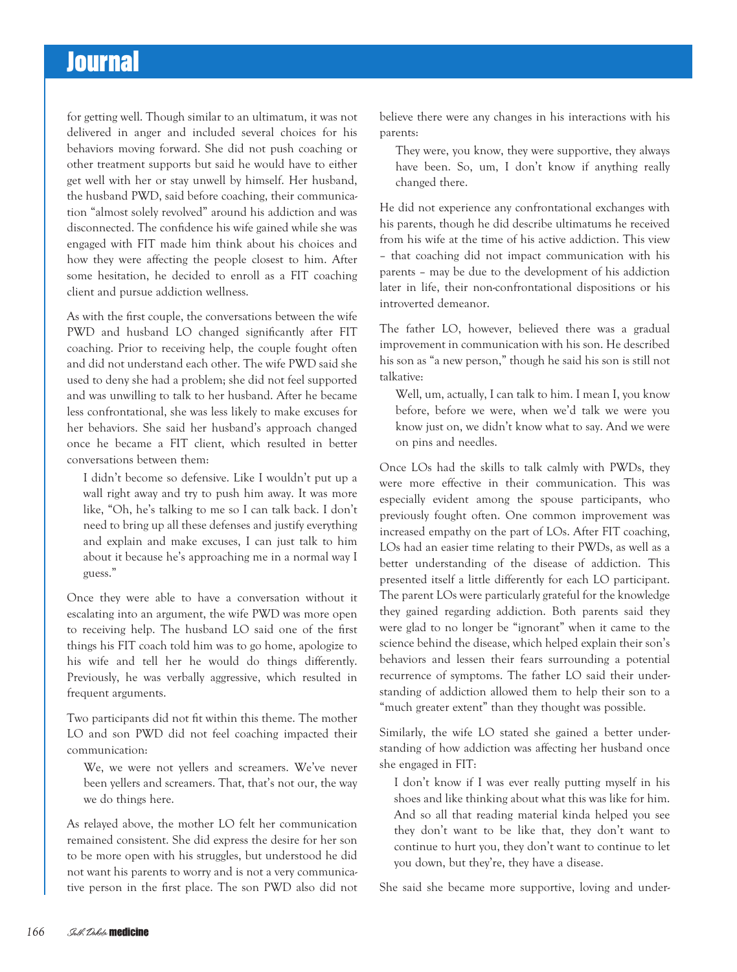for getting well. Though similar to an ultimatum, it was not delivered in anger and included several choices for his behaviors moving forward. She did not push coaching or other treatment supports but said he would have to either get well with her or stay unwell by himself. Her husband, the husband PWD, said before coaching, their communication "almost solely revolved" around his addiction and was disconnected. The confidence his wife gained while she was engaged with FIT made him think about his choices and how they were affecting the people closest to him. After some hesitation, he decided to enroll as a FIT coaching client and pursue addiction wellness.

As with the first couple, the conversations between the wife PWD and husband LO changed significantly after FIT coaching. Prior to receiving help, the couple fought often and did not understand each other. The wife PWD said she used to deny she had a problem; she did not feel supported and was unwilling to talk to her husband. After he became less confrontational, she was less likely to make excuses for her behaviors. She said her husband's approach changed once he became a FIT client, which resulted in better conversations between them:

I didn't become so defensive. Like I wouldn't put up a wall right away and try to push him away. It was more like, "Oh, he's talking to me so I can talk back. I don't need to bring up all these defenses and justify everything and explain and make excuses, I can just talk to him about it because he's approaching me in a normal way I guess."

Once they were able to have a conversation without it escalating into an argument, the wife PWD was more open to receiving help. The husband LO said one of the first things his FIT coach told him was to go home, apologize to his wife and tell her he would do things differently. Previously, he was verbally aggressive, which resulted in frequent arguments.

Two participants did not fit within this theme. The mother LO and son PWD did not feel coaching impacted their communication:

We, we were not yellers and screamers. We've never been yellers and screamers. That, that's not our, the way we do things here.

As relayed above, the mother LO felt her communication remained consistent. She did express the desire for her son to be more open with his struggles, but understood he did not want his parents to worry and is not a very communicative person in the first place. The son PWD also did not believe there were any changes in his interactions with his parents:

They were, you know, they were supportive, they always have been. So, um, I don't know if anything really changed there.

He did not experience any confrontational exchanges with his parents, though he did describe ultimatums he received from his wife at the time of his active addiction. This view – that coaching did not impact communication with his parents – may be due to the development of his addiction later in life, their non-confrontational dispositions or his introverted demeanor.

The father LO, however, believed there was a gradual improvement in communication with his son. He described his son as "a new person," though he said his son is still not talkative:

Well, um, actually, I can talk to him. I mean I, you know before, before we were, when we'd talk we were you know just on, we didn't know what to say. And we were on pins and needles.

Once LOs had the skills to talk calmly with PWDs, they were more effective in their communication. This was especially evident among the spouse participants, who previously fought often. One common improvement was increased empathy on the part of LOs. After FIT coaching, LOs had an easier time relating to their PWDs, as well as a better understanding of the disease of addiction. This presented itself a little differently for each LO participant. The parent LOs were particularly grateful for the knowledge they gained regarding addiction. Both parents said they were glad to no longer be "ignorant" when it came to the science behind the disease, which helped explain their son's behaviors and lessen their fears surrounding a potential recurrence of symptoms. The father LO said their understanding of addiction allowed them to help their son to a "much greater extent" than they thought was possible.

Similarly, the wife LO stated she gained a better understanding of how addiction was affecting her husband once she engaged in FIT:

I don't know if I was ever really putting myself in his shoes and like thinking about what this was like for him. And so all that reading material kinda helped you see they don't want to be like that, they don't want to continue to hurt you, they don't want to continue to let you down, but they're, they have a disease.

She said she became more supportive, loving and under-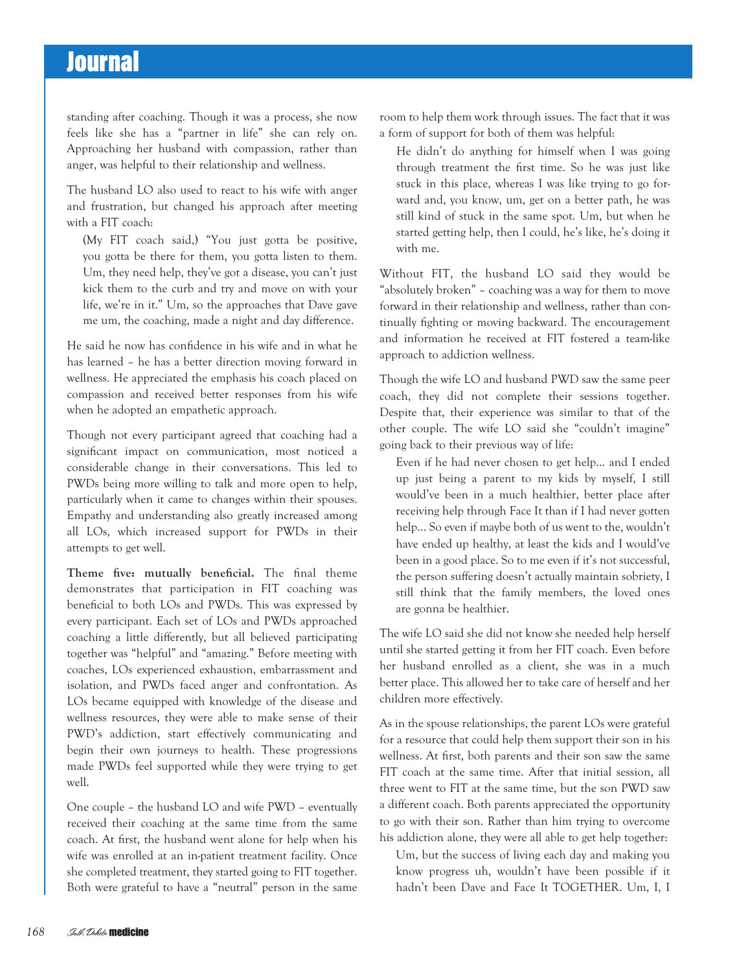standing after coaching. Though it was a process, she now feels like she has a "partner in life" she can rely on. Approaching her husband with compassion, rather than anger, was helpful to their relationship and wellness.

The husband LO also used to react to his wife with anger and frustration, but changed his approach after meeting with a FIT coach:

(My FIT coach said,) "You just gotta be positive, you gotta be there for them, you gotta listen to them. Um, they need help, they've got a disease, you can't just kick them to the curb and try and move on with your life, we're in it." Um, so the approaches that Dave gave me um, the coaching, made a night and day difference.

He said he now has confidence in his wife and in what he has learned – he has a better direction moving forward in wellness. He appreciated the emphasis his coach placed on compassion and received better responses from his wife when he adopted an empathetic approach.

Though not every participant agreed that coaching had a significant impact on communication, most noticed a considerable change in their conversations. This led to PWDs being more willing to talk and more open to help, particularly when it came to changes within their spouses. Empathy and understanding also greatly increased among all LOs, which increased support for PWDs in their attempts to get well.

Theme five: mutually beneficial. The final theme demonstrates that participation in FIT coaching was beneficial to both LOs and PWDs. This was expressed by every participant. Each set of LOs and PWDs approached coaching a little differently, but all believed participating together was "helpful" and "amazing." Before meeting with coaches, LOs experienced exhaustion, embarrassment and isolation, and PWDs faced anger and confrontation. As LOs became equipped with knowledge of the disease and wellness resources, they were able to make sense of their PWD's addiction, start effectively communicating and begin their own journeys to health. These progressions made PWDs feel supported while they were trying to get well.

One couple – the husband LO and wife PWD – eventually received their coaching at the same time from the same coach. At first, the husband went alone for help when his wife was enrolled at an in-patient treatment facility. Once she completed treatment, they started going to FIT together. Both were grateful to have a "neutral" person in the same

room to help them work through issues. The fact that it was a form of support for both of them was helpful:

He didn't do anything for himself when I was going through treatment the first time. So he was just like stuck in this place, whereas I was like trying to go forward and, you know, um, get on a better path, he was still kind of stuck in the same spot. Um, but when he started getting help, then I could, he's like, he's doing it with me.

Without FIT, the husband LO said they would be "absolutely broken" – coaching was a way for them to move forward in their relationship and wellness, rather than continually fighting or moving backward. The encouragement and information he received at FIT fostered a team-like approach to addiction wellness.

Though the wife LO and husband PWD saw the same peer coach, they did not complete their sessions together. Despite that, their experience was similar to that of the other couple. The wife LO said she "couldn't imagine" going back to their previous way of life:

Even if he had never chosen to get help… and I ended up just being a parent to my kids by myself, I still would've been in a much healthier, better place after receiving help through Face It than if I had never gotten help... So even if maybe both of us went to the, wouldn't have ended up healthy, at least the kids and I would've been in a good place. So to me even if it's not successful, the person suffering doesn't actually maintain sobriety, I still think that the family members, the loved ones are gonna be healthier.

The wife LO said she did not know she needed help herself until she started getting it from her FIT coach. Even before her husband enrolled as a client, she was in a much better place. This allowed her to take care of herself and her children more effectively.

As in the spouse relationships, the parent LOs were grateful for a resource that could help them support their son in his wellness. At first, both parents and their son saw the same FIT coach at the same time. After that initial session, all three went to FIT at the same time, but the son PWD saw a different coach. Both parents appreciated the opportunity to go with their son. Rather than him trying to overcome his addiction alone, they were all able to get help together:

Um, but the success of living each day and making you know progress uh, wouldn't have been possible if it hadn't been Dave and Face It TOGETHER. Um, I, I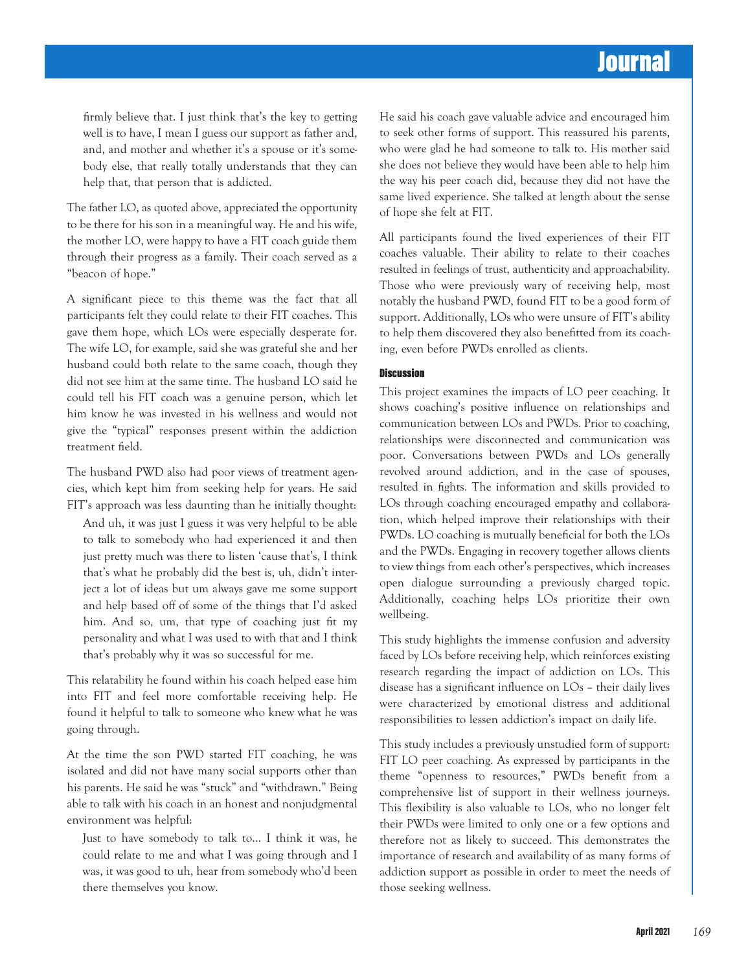firmly believe that. I just think that's the key to getting well is to have, I mean I guess our support as father and, and, and mother and whether it's a spouse or it's somebody else, that really totally understands that they can help that, that person that is addicted.

The father LO, as quoted above, appreciated the opportunity to be there for his son in a meaningful way. He and his wife, the mother LO, were happy to have a FIT coach guide them through their progress as a family. Their coach served as a "beacon of hope."

A significant piece to this theme was the fact that all participants felt they could relate to their FIT coaches. This gave them hope, which LOs were especially desperate for. The wife LO, for example, said she was grateful she and her husband could both relate to the same coach, though they did not see him at the same time. The husband LO said he could tell his FIT coach was a genuine person, which let him know he was invested in his wellness and would not give the "typical" responses present within the addiction treatment field.

The husband PWD also had poor views of treatment agencies, which kept him from seeking help for years. He said FIT's approach was less daunting than he initially thought:

And uh, it was just I guess it was very helpful to be able to talk to somebody who had experienced it and then just pretty much was there to listen 'cause that's, I think that's what he probably did the best is, uh, didn't interject a lot of ideas but um always gave me some support and help based off of some of the things that I'd asked him. And so, um, that type of coaching just fit my personality and what I was used to with that and I think that's probably why it was so successful for me.

This relatability he found within his coach helped ease him into FIT and feel more comfortable receiving help. He found it helpful to talk to someone who knew what he was going through.

At the time the son PWD started FIT coaching, he was isolated and did not have many social supports other than his parents. He said he was "stuck" and "withdrawn." Being able to talk with his coach in an honest and nonjudgmental environment was helpful:

Just to have somebody to talk to… I think it was, he could relate to me and what I was going through and I was, it was good to uh, hear from somebody who'd been there themselves you know.

He said his coach gave valuable advice and encouraged him to seek other forms of support. This reassured his parents, who were glad he had someone to talk to. His mother said she does not believe they would have been able to help him the way his peer coach did, because they did not have the same lived experience. She talked at length about the sense of hope she felt at FIT.

All participants found the lived experiences of their FIT coaches valuable. Their ability to relate to their coaches resulted in feelings of trust, authenticity and approachability. Those who were previously wary of receiving help, most notably the husband PWD, found FIT to be a good form of support. Additionally, LOs who were unsure of FIT's ability to help them discovered they also benefitted from its coaching, even before PWDs enrolled as clients.

#### **Discussion**

This project examines the impacts of LO peer coaching. It shows coaching's positive influence on relationships and communication between LOs and PWDs. Prior to coaching, relationships were disconnected and communication was poor. Conversations between PWDs and LOs generally revolved around addiction, and in the case of spouses, resulted in fights. The information and skills provided to LOs through coaching encouraged empathy and collaboration, which helped improve their relationships with their PWDs. LO coaching is mutually beneficial for both the LOs and the PWDs. Engaging in recovery together allows clients to view things from each other's perspectives, which increases open dialogue surrounding a previously charged topic. Additionally, coaching helps LOs prioritize their own wellbeing.

This study highlights the immense confusion and adversity faced by LOs before receiving help, which reinforces existing research regarding the impact of addiction on LOs. This disease has a significant influence on LOs – their daily lives were characterized by emotional distress and additional responsibilities to lessen addiction's impact on daily life.

This study includes a previously unstudied form of support: FIT LO peer coaching. As expressed by participants in the theme "openness to resources," PWDs benefit from a comprehensive list of support in their wellness journeys. This flexibility is also valuable to LOs, who no longer felt their PWDs were limited to only one or a few options and therefore not as likely to succeed. This demonstrates the importance of research and availability of as many forms of addiction support as possible in order to meet the needs of those seeking wellness.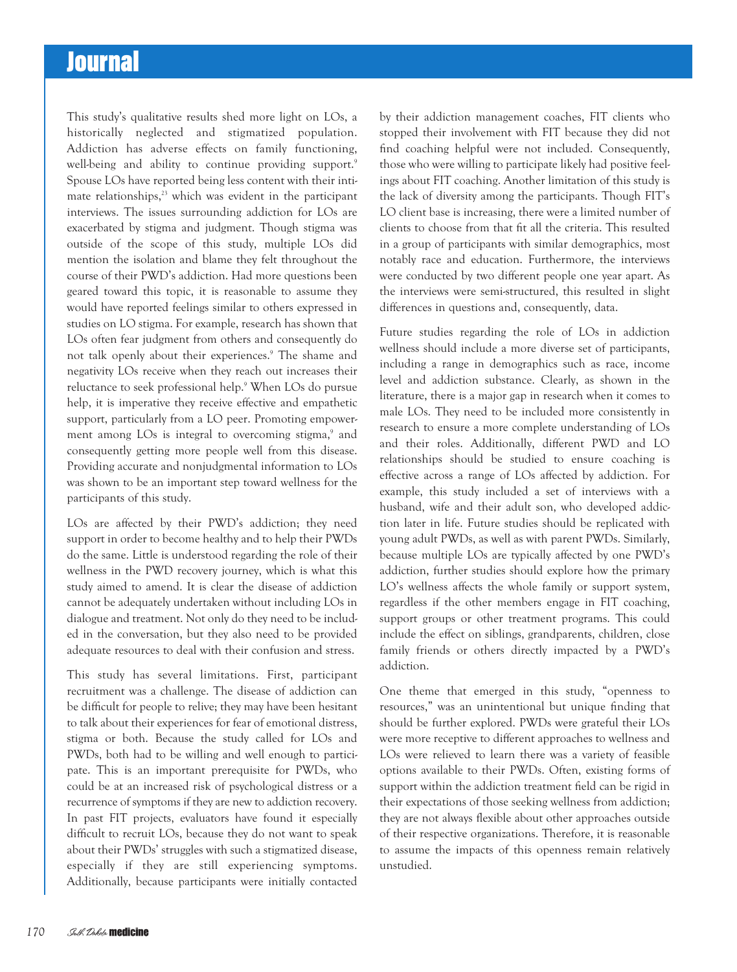This study's qualitative results shed more light on LOs, a historically neglected and stigmatized population. Addiction has adverse effects on family functioning, well-being and ability to continue providing support.<sup>9</sup> Spouse LOs have reported being less content with their intimate relationships,<sup>23</sup> which was evident in the participant interviews. The issues surrounding addiction for LOs are exacerbated by stigma and judgment. Though stigma was outside of the scope of this study, multiple LOs did mention the isolation and blame they felt throughout the course of their PWD's addiction. Had more questions been geared toward this topic, it is reasonable to assume they would have reported feelings similar to others expressed in studies on LO stigma. For example, research has shown that LOs often fear judgment from others and consequently do not talk openly about their experiences.<sup>9</sup> The shame and negativity LOs receive when they reach out increases their reluctance to seek professional help.9 When LOs do pursue help, it is imperative they receive effective and empathetic support, particularly from a LO peer. Promoting empowerment among LOs is integral to overcoming stigma,<sup>9</sup> and consequently getting more people well from this disease. Providing accurate and nonjudgmental information to LOs was shown to be an important step toward wellness for the participants of this study.

LOs are affected by their PWD's addiction; they need support in order to become healthy and to help their PWDs do the same. Little is understood regarding the role of their wellness in the PWD recovery journey, which is what this study aimed to amend. It is clear the disease of addiction cannot be adequately undertaken without including LOs in dialogue and treatment. Not only do they need to be included in the conversation, but they also need to be provided adequate resources to deal with their confusion and stress.

This study has several limitations. First, participant recruitment was a challenge. The disease of addiction can be difficult for people to relive; they may have been hesitant to talk about their experiences for fear of emotional distress, stigma or both. Because the study called for LOs and PWDs, both had to be willing and well enough to participate. This is an important prerequisite for PWDs, who could be at an increased risk of psychological distress or a recurrence of symptoms if they are new to addiction recovery. In past FIT projects, evaluators have found it especially difficult to recruit LOs, because they do not want to speak about their PWDs' struggles with such a stigmatized disease, especially if they are still experiencing symptoms. Additionally, because participants were initially contacted

by their addiction management coaches, FIT clients who stopped their involvement with FIT because they did not find coaching helpful were not included. Consequently, those who were willing to participate likely had positive feelings about FIT coaching. Another limitation of this study is the lack of diversity among the participants. Though FIT's LO client base is increasing, there were a limited number of clients to choose from that fit all the criteria. This resulted in a group of participants with similar demographics, most notably race and education. Furthermore, the interviews were conducted by two different people one year apart. As the interviews were semi-structured, this resulted in slight differences in questions and, consequently, data.

Future studies regarding the role of LOs in addiction wellness should include a more diverse set of participants, including a range in demographics such as race, income level and addiction substance. Clearly, as shown in the literature, there is a major gap in research when it comes to male LOs. They need to be included more consistently in research to ensure a more complete understanding of LOs and their roles. Additionally, different PWD and LO relationships should be studied to ensure coaching is effective across a range of LOs affected by addiction. For example, this study included a set of interviews with a husband, wife and their adult son, who developed addiction later in life. Future studies should be replicated with young adult PWDs, as well as with parent PWDs. Similarly, because multiple LOs are typically affected by one PWD's addiction, further studies should explore how the primary LO's wellness affects the whole family or support system, regardless if the other members engage in FIT coaching, support groups or other treatment programs. This could include the effect on siblings, grandparents, children, close family friends or others directly impacted by a PWD's addiction.

One theme that emerged in this study, "openness to resources," was an unintentional but unique finding that should be further explored. PWDs were grateful their LOs were more receptive to different approaches to wellness and LOs were relieved to learn there was a variety of feasible options available to their PWDs. Often, existing forms of support within the addiction treatment field can be rigid in their expectations of those seeking wellness from addiction; they are not always flexible about other approaches outside of their respective organizations. Therefore, it is reasonable to assume the impacts of this openness remain relatively unstudied.